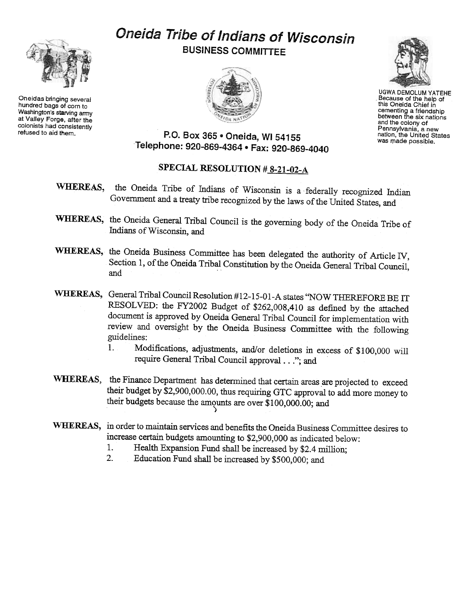Oneidas bringing several hundred bags of corn to Washington's starving army at Valley Forge, after the colonists had consistently<br>refused to aid them.

# Oneida Tribe of Indians of Wisconsin BUSINESS COMMITTEE





UGWA DEMOLUM YATEHE Because of the help of this Oneida Chief in cementing a friendship between the six nations and the colony of Pennsylvania, a new nation, the United States was made possible.

## P.O. Box 365 . Oneida, WI 54155 Telephone: 920-869-4364 · Fax: 920-869-4040

## SPECIAL RESOLUTION #8-21-02-A

- WHEREAS, the Oneida Tribe of Indians of Wisconsin is a federally recognized Indian Government and a treaty tribe recognized by the laws of the United States, and
- WHEREAS, the Oneida General Tribal Council is the governing body of the Oneida Tribe of Indians of Wisconsin, and
- WHEREAS, the Oneida Business Committee has been delegated the authority of Article IV, Section 1, of the Oneida Tribal Constitution by the Oneida General Tribal Council,
- WHEREAS, General Tribal Council Resolution #12-15-01-A states "NOW THEREFORE BE IT RESOLVED: the FY2002 Budget of \$262,008,410 as defined by the attached document is approved by Oneida General Tribal Council for implementation with review and oversight by the Oneida Business Committee with the following guidelines:<br>1 Mo
	- .1. Modifications, adjustments, and/or deletions in excess of \$100,000 will require General Tribal Council approval. .."; and
- WHEREAS, the Finance Department has determined that certain areas are projected to exceed their budget by \$2,900,000.00, thus requiring GTC approval to add more money to their budgets because the amounts are over \$100,000.00; and
- WHEREAS, in order to maintain services and benefits the Oneida Business Committee desires to increase certain budgets amounting to \$2,900,000 as indicated below:
	- 1. Health Expansion Fund shall be increased by \$2.4 million;
	- 2. Education Fund shall be increased by \$500,000; and

'>